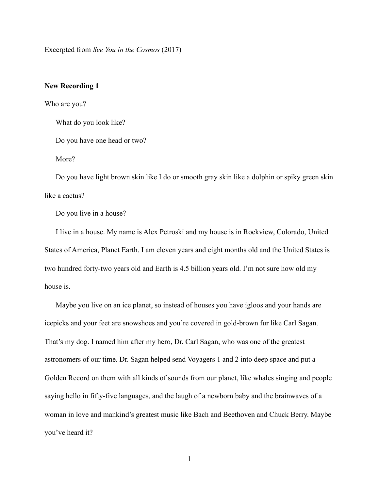Excerpted from *See You in the Cosmos* (2017)

## **New Recording 1**

Who are you?

What do you look like?

Do you have one head or two?

More?

 Do you have light brown skin like I do or smooth gray skin like a dolphin or spiky green skin like a cactus?

Do you live in a house?

 I live in a house. My name is Alex Petroski and my house is in Rockview, Colorado, United States of America, Planet Earth. I am eleven years and eight months old and the United States is two hundred forty-two years old and Earth is 4.5 billion years old. I'm not sure how old my house is.

 Maybe you live on an ice planet, so instead of houses you have igloos and your hands are icepicks and your feet are snowshoes and you're covered in gold-brown fur like Carl Sagan. That's my dog. I named him after my hero, Dr. Carl Sagan, who was one of the greatest astronomers of our time. Dr. Sagan helped send Voyagers 1 and 2 into deep space and put a Golden Record on them with all kinds of sounds from our planet, like whales singing and people saying hello in fifty-five languages, and the laugh of a newborn baby and the brainwaves of a woman in love and mankind's greatest music like Bach and Beethoven and Chuck Berry. Maybe you've heard it?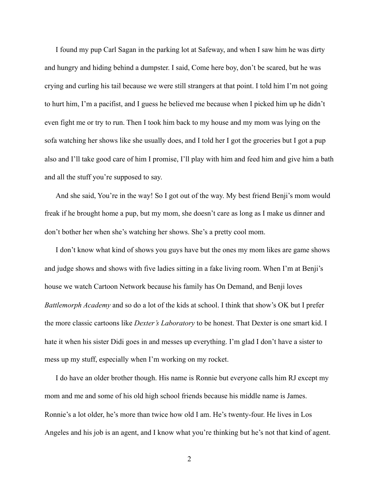I found my pup Carl Sagan in the parking lot at Safeway, and when I saw him he was dirty and hungry and hiding behind a dumpster. I said, Come here boy, don't be scared, but he was crying and curling his tail because we were still strangers at that point. I told him I'm not going to hurt him, I'm a pacifist, and I guess he believed me because when I picked him up he didn't even fight me or try to run. Then I took him back to my house and my mom was lying on the sofa watching her shows like she usually does, and I told her I got the groceries but I got a pup also and I'll take good care of him I promise, I'll play with him and feed him and give him a bath and all the stuff you're supposed to say.

 And she said, You're in the way! So I got out of the way. My best friend Benji's mom would freak if he brought home a pup, but my mom, she doesn't care as long as I make us dinner and don't bother her when she's watching her shows. She's a pretty cool mom.

 I don't know what kind of shows you guys have but the ones my mom likes are game shows and judge shows and shows with five ladies sitting in a fake living room. When I'm at Benji's house we watch Cartoon Network because his family has On Demand, and Benji loves *Battlemorph Academy* and so do a lot of the kids at school. I think that show's OK but I prefer the more classic cartoons like *Dexter's Laboratory* to be honest. That Dexter is one smart kid. I hate it when his sister Didi goes in and messes up everything. I'm glad I don't have a sister to mess up my stuff, especially when I'm working on my rocket.

 I do have an older brother though. His name is Ronnie but everyone calls him RJ except my mom and me and some of his old high school friends because his middle name is James. Ronnie's a lot older, he's more than twice how old I am. He's twenty-four. He lives in Los Angeles and his job is an agent, and I know what you're thinking but he's not that kind of agent.

2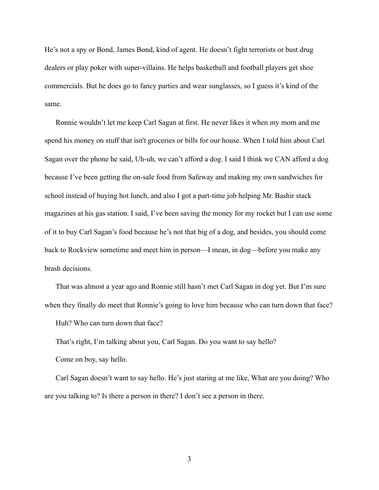He's not a spy or Bond, James Bond, kind of agent. He doesn't fight terrorists or bust drug dealers or play poker with super-villains. He helps basketball and football players get shoe commercials. But he does go to fancy parties and wear sunglasses, so I guess it's kind of the same.

 Ronnie wouldn't let me keep Carl Sagan at first. He never likes it when my mom and me spend his money on stuff that isn't groceries or bills for our house. When I told him about Carl Sagan over the phone he said, Uh-uh, we can't afford a dog. I said I think we CAN afford a dog because I've been getting the on-sale food from Safeway and making my own sandwiches for school instead of buying hot lunch, and also I got a part-time job helping Mr. Bashir stack magazines at his gas station. I said, I've been saving the money for my rocket but I can use some of it to buy Carl Sagan's food because he's not that big of a dog, and besides, you should come back to Rockview sometime and meet him in person—I mean, in dog—before you make any brash decisions.

 That was almost a year ago and Ronnie still hasn't met Carl Sagan in dog yet. But I'm sure when they finally do meet that Ronnie's going to love him because who can turn down that face?

Huh? Who can turn down that face?

That's right, I'm talking about you, Carl Sagan. Do you want to say hello?

Come on boy, say hello.

 Carl Sagan doesn't want to say hello. He's just staring at me like, What are you doing? Who are you talking to? Is there a person in there? I don't see a person in there.

3